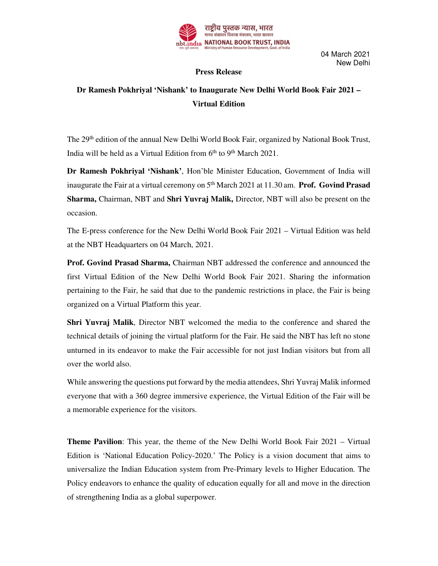

04 March 2021 New Delhi

## **Press Release**

## **Dr Ramesh Pokhriyal 'Nishank' to Inaugurate New Delhi World Book Fair 2021 – Virtual Edition**

The 29<sup>th</sup> edition of the annual New Delhi World Book Fair, organized by National Book Trust, India will be held as a Virtual Edition from 6<sup>th</sup> to 9<sup>th</sup> March 2021.

**Dr Ramesh Pokhriyal 'Nishank'**, Hon'ble Minister Education, Government of India will inaugurate the Fair at a virtual ceremony on 5<sup>th</sup> March 2021 at 11.30 am. **Prof. Govind Prasad Sharma,** Chairman, NBT and **Shri Yuvraj Malik,** Director, NBT will also be present on the occasion.

The E-press conference for the New Delhi World Book Fair 2021 – Virtual Edition was held at the NBT Headquarters on 04 March, 2021.

**Prof. Govind Prasad Sharma,** Chairman NBT addressed the conference and announced the first Virtual Edition of the New Delhi World Book Fair 2021. Sharing the information pertaining to the Fair, he said that due to the pandemic restrictions in place, the Fair is being organized on a Virtual Platform this year.

**Shri Yuvraj Malik**, Director NBT welcomed the media to the conference and shared the technical details of joining the virtual platform for the Fair. He said the NBT has left no stone unturned in its endeavor to make the Fair accessible for not just Indian visitors but from all over the world also.

While answering the questions put forward by the media attendees, Shri Yuvraj Malik informed everyone that with a 360 degree immersive experience, the Virtual Edition of the Fair will be a memorable experience for the visitors.

**Theme Pavilion**: This year, the theme of the New Delhi World Book Fair 2021 – Virtual Edition is 'National Education Policy-2020.' The Policy is a vision document that aims to universalize the Indian Education system from Pre-Primary levels to Higher Education. The Policy endeavors to enhance the quality of education equally for all and move in the direction of strengthening India as a global superpower.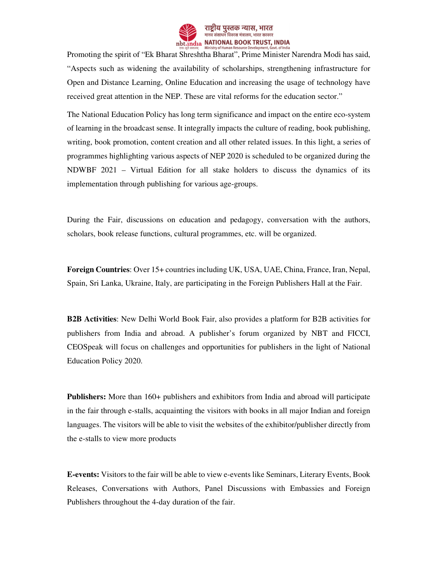

Promoting the spirit of "Ek Bharat Shreshtha Bharat", Prime Minister Narendra Modi has said, "Aspects such as widening the availability of scholarships, strengthening infrastructure for Open and Distance Learning, Online Education and increasing the usage of technology have received great attention in the NEP. These are vital reforms for the education sector."

The National Education Policy has long term significance and impact on the entire eco-system of learning in the broadcast sense. It integrally impacts the culture of reading, book publishing, writing, book promotion, content creation and all other related issues. In this light, a series of programmes highlighting various aspects of NEP 2020 is scheduled to be organized during the NDWBF 2021 – Virtual Edition for all stake holders to discuss the dynamics of its implementation through publishing for various age-groups.

During the Fair, discussions on education and pedagogy, conversation with the authors, scholars, book release functions, cultural programmes, etc. will be organized.

**Foreign Countries**: Over 15+ countries including UK, USA, UAE, China, France, Iran, Nepal, Spain, Sri Lanka, Ukraine, Italy, are participating in the Foreign Publishers Hall at the Fair.

**B2B Activities**: New Delhi World Book Fair, also provides a platform for B2B activities for publishers from India and abroad. A publisher's forum organized by NBT and FICCI, CEOSpeak will focus on challenges and opportunities for publishers in the light of National Education Policy 2020.

**Publishers:** More than 160+ publishers and exhibitors from India and abroad will participate in the fair through e-stalls, acquainting the visitors with books in all major Indian and foreign languages. The visitors will be able to visit the websites of the exhibitor/publisher directly from the e-stalls to view more products

**E-events:** Visitors to the fair will be able to view e-events like Seminars, Literary Events, Book Releases, Conversations with Authors, Panel Discussions with Embassies and Foreign Publishers throughout the 4-day duration of the fair.